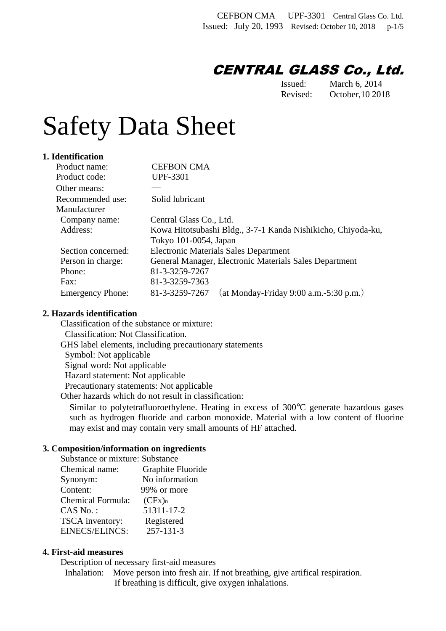# CENTRAL GLASS Co., Ltd.

Issued: March 6, 2014 Revised: October,10 2018

# Safety Data Sheet

#### **1. Identification**

| Product name:           | <b>CEFBON CMA</b>                                            |  |
|-------------------------|--------------------------------------------------------------|--|
| Product code:           | <b>UPF-3301</b>                                              |  |
| Other means:            |                                                              |  |
| Recommended use:        | Solid lubricant                                              |  |
| Manufacturer            |                                                              |  |
| Company name:           | Central Glass Co., Ltd.                                      |  |
| Address:                | Kowa Hitotsubashi Bldg., 3-7-1 Kanda Nishikicho, Chiyoda-ku, |  |
|                         | Tokyo 101-0054, Japan                                        |  |
| Section concerned:      | <b>Electronic Materials Sales Department</b>                 |  |
| Person in charge:       | General Manager, Electronic Materials Sales Department       |  |
| Phone:                  | 81-3-3259-7267                                               |  |
| Fax:                    | 81-3-3259-7363                                               |  |
| <b>Emergency Phone:</b> | (at Monday-Friday 9:00 a.m.-5:30 p.m.)<br>81-3-3259-7267     |  |

#### **2. Hazards identification**

 Classification of the substance or mixture: Classification: Not Classification. GHS label elements, including precautionary statements Symbol: Not applicable Signal word: Not applicable Hazard statement: Not applicable Precautionary statements: Not applicable Other hazards which do not result in classification:

Similar to polytetrafluoroethylene. Heating in excess of 300°C generate hazardous gases such as hydrogen fluoride and carbon monoxide. Material with a low content of fluorine may exist and may contain very small amounts of HF attached.

## **3. Composition/information on ingredients**

| Substance or mixture: Substance |                   |  |  |
|---------------------------------|-------------------|--|--|
| Chemical name:                  | Graphite Fluoride |  |  |
| Synonym:                        | No information    |  |  |
| Content:                        | 99% or more       |  |  |
| <b>Chemical Formula:</b>        | $(CFx)_{n}$       |  |  |
| CAS No.:                        | 51311-17-2        |  |  |
| TSCA inventory:                 | Registered        |  |  |
| EINECS/ELINCS:                  | 257-131-3         |  |  |
|                                 |                   |  |  |

#### **4. First-aid measures**

Description of necessary first-aid measures

Inhalation: Move person into fresh air. If not breathing, give artifical respiration. If breathing is difficult, give oxygen inhalations.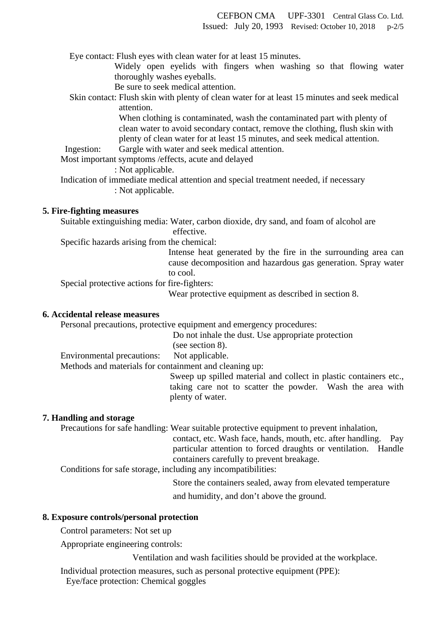Eye contact: Flush eyes with clean water for at least 15 minutes.

Widely open eyelids with fingers when washing so that flowing water thoroughly washes eyeballs.

Be sure to seek medical attention.

Skin contact: Flush skin with plenty of clean water for at least 15 minutes and seek medical attention.

> When clothing is contaminated, wash the contaminated part with plenty of clean water to avoid secondary contact, remove the clothing, flush skin with plenty of clean water for at least 15 minutes, and seek medical attention.

Ingestion: Gargle with water and seek medical attention.

Most important symptoms /effects, acute and delayed

: Not applicable.

 Indication of immediate medical attention and special treatment needed, if necessary : Not applicable.

#### **5. Fire-fighting measures**

Suitable extinguishing media: Water, carbon dioxide, dry sand, and foam of alcohol are effective.

Specific hazards arising from the chemical:

Intense heat generated by the fire in the surrounding area can cause decomposition and hazardous gas generation. Spray water to cool.

Special protective actions for fire-fighters:

Wear protective equipment as described in section 8.

#### **6. Accidental release measures**

Personal precautions, protective equipment and emergency procedures:

Do not inhale the dust. Use appropriate protection

(see section 8).

Environmental precautions: Not applicable.

Methods and materials for containment and cleaning up:

Sweep up spilled material and collect in plastic containers etc., taking care not to scatter the powder. Wash the area with plenty of water.

#### **7. Handling and storage**

Precautions for safe handling: Wear suitable protective equipment to prevent inhalation,

contact, etc. Wash face, hands, mouth, etc. after handling. Pay particular attention to forced draughts or ventilation. Handle containers carefully to prevent breakage.

Conditions for safe storage, including any incompatibilities:

 Store the containers sealed, away from elevated temperature and humidity, and don't above the ground.

**8. Exposure controls/personal protection** 

Control parameters: Not set up

Appropriate engineering controls:

Ventilation and wash facilities should be provided at the workplace.

Individual protection measures, such as personal protective equipment (PPE):

Eye/face protection: Chemical goggles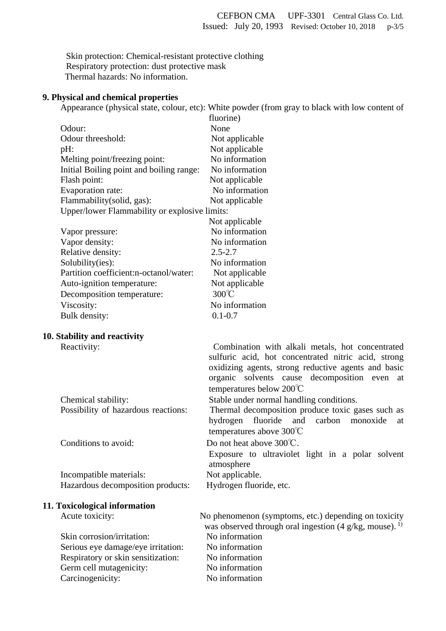Skin protection: Chemical-resistant protective clothing Respiratory protection: dust protective mask Thermal hazards: No information.

#### **9. Physical and chemical properties**

 Appearance (physical state, colour, etc): White powder (from gray to black with low content of  $f(x) = \frac{1}{2}$ 

|                                               |                                          | (Illorine      |
|-----------------------------------------------|------------------------------------------|----------------|
|                                               | Odour:                                   | None           |
|                                               | Odour threeshold:                        | Not applicable |
|                                               | pH:                                      | Not applicable |
|                                               | Melting point/freezing point:            | No information |
|                                               | Initial Boiling point and boiling range: | No information |
|                                               | Flash point:                             | Not applicable |
|                                               | Evaporation rate:                        | No information |
|                                               | Flammability(solid, gas):                | Not applicable |
| Upper/lower Flammability or explosive limits: |                                          |                |
|                                               |                                          | Not applicable |
|                                               | Vapor pressure:                          | No information |
|                                               | Vapor density:                           | No information |
|                                               | Relative density:                        | $2.5 - 2.7$    |
|                                               | Solubility(ies):                         | No information |
|                                               | Partition coefficient:n-octanol/water:   | Not applicable |
|                                               | Auto-ignition temperature:               | Not applicable |
|                                               | Decomposition temperature:               | 300°C          |
|                                               | Viscosity:                               | No information |
|                                               | Bulk density:                            | $0.1 - 0.7$    |
|                                               |                                          |                |

#### **10. Stability and reactivity**

Reactivity: Combination with alkali metals, hot concentrated

|                                     | sulfuric acid, hot concentrated nitric acid, strong            |
|-------------------------------------|----------------------------------------------------------------|
|                                     | oxidizing agents, strong reductive agents and basic            |
|                                     | organic solvents cause decomposition even at                   |
|                                     | temperatures below $200^{\circ}$ C                             |
| Chemical stability:                 | Stable under normal handling conditions.                       |
| Possibility of hazardous reactions: | Thermal decomposition produce toxic gases such as              |
|                                     | hydrogen fluoride and carbon monoxide at                       |
|                                     | temperatures above $300^{\circ}$ C                             |
| Conditions to avoid:                | Do not heat above $300^{\circ}$ C.                             |
|                                     | Exposure to ultraviolet light in a polar solvent<br>atmosphere |
| Incompatible materials:             | Not applicable.                                                |
| Hazardous decomposition products:   | Hydrogen fluoride, etc.                                        |
|                                     |                                                                |

# **11. Toxicological information**

Skin corrosion/irritation: No information Serious eye damage/eye irritation: No information Respiratory or skin sensitization: No information Germ cell mutagenicity:<br>
No information<br>
No information<br>
No information Carcinogenicity:

Acute toxicity: No phenomenon (symptoms, etc.) depending on toxicity was observed through oral ingestion  $(4 \text{ g/kg}, \text{mouse})$ .<sup>1)</sup>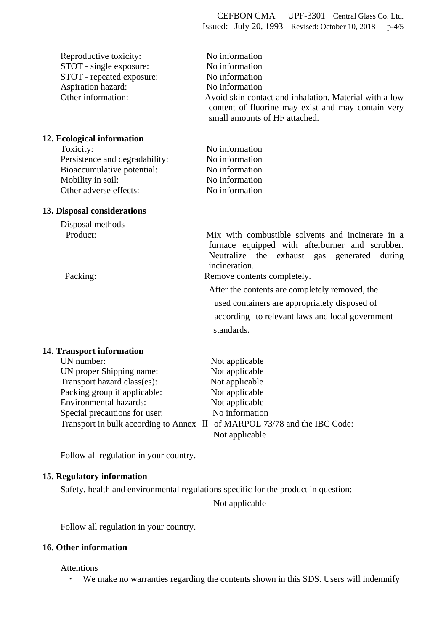| Reproductive toxicity:<br>STOT - single exposure:<br>STOT - repeated exposure:<br>Aspiration hazard:<br>Other information: | No information<br>No information<br>No information<br>No information<br>Avoid skin contact and inhalation. Material with a low<br>content of fluorine may exist and may contain very<br>small amounts of HF attached. |
|----------------------------------------------------------------------------------------------------------------------------|-----------------------------------------------------------------------------------------------------------------------------------------------------------------------------------------------------------------------|
| 12. Ecological information                                                                                                 |                                                                                                                                                                                                                       |
| Toxicity:                                                                                                                  | No information                                                                                                                                                                                                        |
| Persistence and degradability:                                                                                             | No information                                                                                                                                                                                                        |
| Bioaccumulative potential:                                                                                                 | No information                                                                                                                                                                                                        |
| Mobility in soil:                                                                                                          | No information                                                                                                                                                                                                        |
| Other adverse effects:                                                                                                     | No information                                                                                                                                                                                                        |
| <b>13. Disposal considerations</b>                                                                                         |                                                                                                                                                                                                                       |
| Disposal methods                                                                                                           |                                                                                                                                                                                                                       |
| Product:<br>Packing:                                                                                                       | Mix with combustible solvents and incinerate in a<br>furnace equipped with afterburner and scrubber.<br>Neutralize the exhaust gas<br>generated<br>during<br>incineration.<br>Remove contents completely.             |
|                                                                                                                            |                                                                                                                                                                                                                       |
|                                                                                                                            | After the contents are completely removed, the<br>used containers are appropriately disposed of<br>according to relevant laws and local government<br>standards.                                                      |
| <b>14. Transport information</b>                                                                                           |                                                                                                                                                                                                                       |
| UN number:                                                                                                                 | Not applicable                                                                                                                                                                                                        |
| UN proper Shipping name:                                                                                                   | Not applicable                                                                                                                                                                                                        |
| Transport hazard class(es):                                                                                                | Not applicable                                                                                                                                                                                                        |
| Packing group if applicable:                                                                                               | Not applicable                                                                                                                                                                                                        |
| Environmental hazards:                                                                                                     | Not applicable                                                                                                                                                                                                        |
| Special precautions for user:                                                                                              | No information                                                                                                                                                                                                        |
| Transport in bulk according to Annex II                                                                                    | of MARPOL 73/78 and the IBC Code:                                                                                                                                                                                     |
|                                                                                                                            | Not applicable                                                                                                                                                                                                        |

Follow all regulation in your country.

# **15. Regulatory information**

 Safety, health and environmental regulations specific for the product in question: Not applicable

Follow all regulation in your country.

## **16. Other information**

Attentions

・ We make no warranties regarding the contents shown in this SDS. Users will indemnify